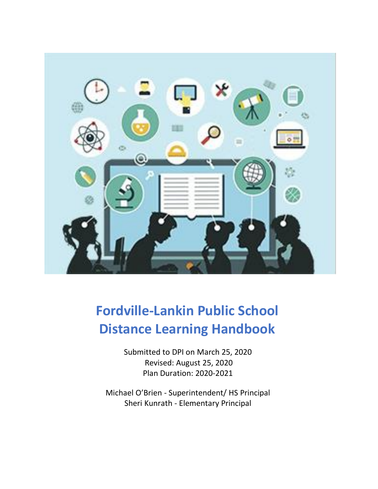

# **Fordville-Lankin Public School Distance Learning Handbook**

Submitted to DPI on March 25, 2020 Revised: August 25, 2020 Plan Duration: 2020-2021

Michael O'Brien - Superintendent/ HS Principal Sheri Kunrath - Elementary Principal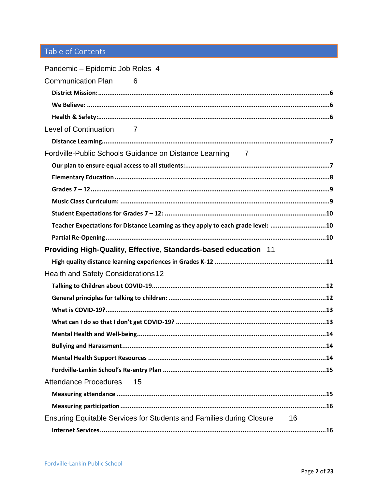# Table of Contents

| Pandemic - Epidemic Job Roles 4                                                  |
|----------------------------------------------------------------------------------|
| <b>Communication Plan</b><br>6                                                   |
|                                                                                  |
|                                                                                  |
|                                                                                  |
| Level of Continuation<br>$\overline{7}$                                          |
|                                                                                  |
| Fordville-Public Schools Guidance on Distance Learning 7                         |
|                                                                                  |
|                                                                                  |
|                                                                                  |
|                                                                                  |
|                                                                                  |
| Teacher Expectations for Distance Learning as they apply to each grade level: 10 |
|                                                                                  |
| Providing High-Quality, Effective, Standards-based education 11                  |
|                                                                                  |
| <b>Health and Safety Considerations 12</b>                                       |
|                                                                                  |
|                                                                                  |
|                                                                                  |
|                                                                                  |
|                                                                                  |
|                                                                                  |
|                                                                                  |
|                                                                                  |
| <b>Attendance Procedures</b><br>15                                               |
|                                                                                  |
|                                                                                  |
| Ensuring Equitable Services for Students and Families during Closure<br>16       |
|                                                                                  |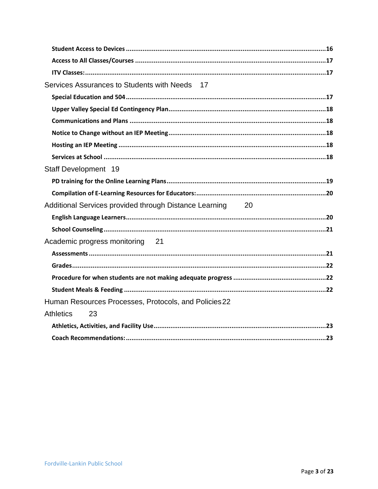| Services Assurances to Students with Needs 17             |
|-----------------------------------------------------------|
|                                                           |
|                                                           |
|                                                           |
|                                                           |
|                                                           |
|                                                           |
| Staff Development 19                                      |
|                                                           |
|                                                           |
|                                                           |
| Additional Services provided through Distance Learning 20 |
|                                                           |
|                                                           |
| Academic progress monitoring 21                           |
|                                                           |
|                                                           |
|                                                           |
|                                                           |
| Human Resources Processes, Protocols, and Policies 22     |
| <b>Athletics</b><br>23                                    |
|                                                           |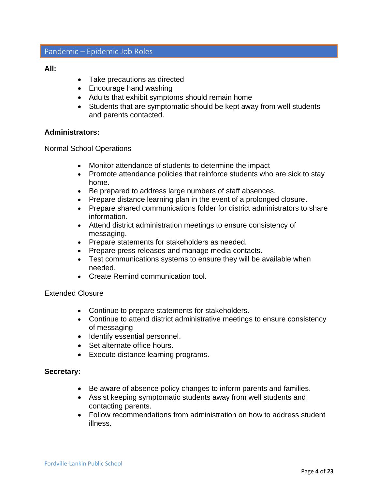# <span id="page-3-0"></span>Pandemic – Epidemic Job Roles

#### **All:**

- Take precautions as directed
- Encourage hand washing
- Adults that exhibit symptoms should remain home
- Students that are symptomatic should be kept away from well students and parents contacted.

#### **Administrators:**

Normal School Operations

- Monitor attendance of students to determine the impact
- Promote attendance policies that reinforce students who are sick to stay home.
- Be prepared to address large numbers of staff absences.
- Prepare distance learning plan in the event of a prolonged closure.
- Prepare shared communications folder for district administrators to share information.
- Attend district administration meetings to ensure consistency of messaging.
- Prepare statements for stakeholders as needed.
- Prepare press releases and manage media contacts.
- Test communications systems to ensure they will be available when needed.
- Create Remind communication tool.

#### Extended Closure

- Continue to prepare statements for stakeholders.
- Continue to attend district administrative meetings to ensure consistency of messaging
- Identify essential personnel.
- Set alternate office hours.
- Execute distance learning programs.

# **Secretary:**

- Be aware of absence policy changes to inform parents and families.
- Assist keeping symptomatic students away from well students and contacting parents.
- Follow recommendations from administration on how to address student illness.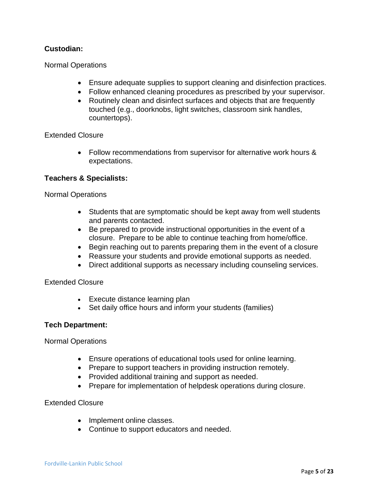# **Custodian:**

Normal Operations

- Ensure adequate supplies to support cleaning and disinfection practices.
- Follow enhanced cleaning procedures as prescribed by your supervisor.
- Routinely clean and disinfect surfaces and objects that are frequently touched (e.g., doorknobs, light switches, classroom sink handles, countertops).

Extended Closure

• Follow recommendations from supervisor for alternative work hours & expectations.

#### **Teachers & Specialists:**

#### Normal Operations

- Students that are symptomatic should be kept away from well students and parents contacted.
- Be prepared to provide instructional opportunities in the event of a closure. Prepare to be able to continue teaching from home/office.
- Begin reaching out to parents preparing them in the event of a closure
- Reassure your students and provide emotional supports as needed.
- Direct additional supports as necessary including counseling services.

Extended Closure

- Execute distance learning plan
- Set daily office hours and inform your students (families)

#### **Tech Department:**

Normal Operations

- Ensure operations of educational tools used for online learning.
- Prepare to support teachers in providing instruction remotely.
- Provided additional training and support as needed.
- Prepare for implementation of helpdesk operations during closure.

Extended Closure

- Implement online classes.
- Continue to support educators and needed.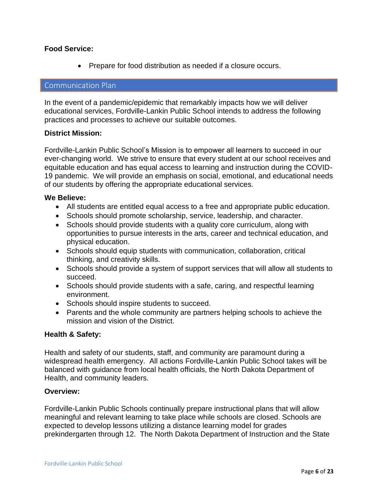#### **Food Service:**

• Prepare for food distribution as needed if a closure occurs.

#### <span id="page-5-0"></span>Communication Plan

In the event of a pandemic/epidemic that remarkably impacts how we will deliver educational services, Fordville-Lankin Public School intends to address the following practices and processes to achieve our suitable outcomes.

#### <span id="page-5-1"></span>**District Mission:**

Fordville-Lankin Public School's Mission is to empower all learners to succeed in our ever-changing world. We strive to ensure that every student at our school receives and equitable education and has equal access to learning and instruction during the COVID-19 pandemic. We will provide an emphasis on social, emotional, and educational needs of our students by offering the appropriate educational services.

#### <span id="page-5-2"></span>**We Believe:**

- All students are entitled equal access to a free and appropriate public education.
- Schools should promote scholarship, service, leadership, and character.
- Schools should provide students with a quality core curriculum, along with opportunities to pursue interests in the arts, career and technical education, and physical education.
- Schools should equip students with communication, collaboration, critical thinking, and creativity skills.
- Schools should provide a system of support services that will allow all students to succeed.
- Schools should provide students with a safe, caring, and respectful learning environment.
- Schools should inspire students to succeed.
- Parents and the whole community are partners helping schools to achieve the mission and vision of the District.

# <span id="page-5-3"></span>**Health & Safety:**

Health and safety of our students, staff, and community are paramount during a widespread health emergency. All actions Fordville-Lankin Public School takes will be balanced with guidance from local health officials, the North Dakota Department of Health, and community leaders.

# **Overview:**

Fordville-Lankin Public Schools continually prepare instructional plans that will allow meaningful and relevant learning to take place while schools are closed. Schools are expected to develop lessons utilizing a distance learning model for grades prekindergarten through 12. The North Dakota Department of Instruction and the State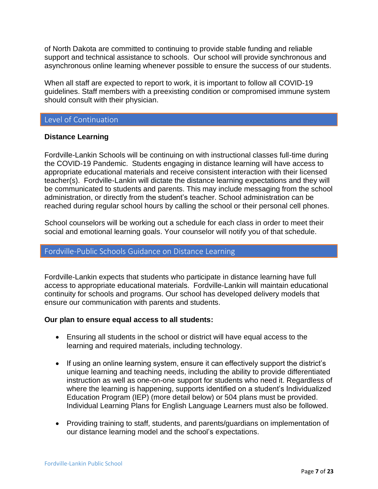of North Dakota are committed to continuing to provide stable funding and reliable support and technical assistance to schools. Our school will provide synchronous and asynchronous online learning whenever possible to ensure the success of our students.

When all staff are expected to report to work, it is important to follow all COVID-19 guidelines. Staff members with a preexisting condition or compromised immune system should consult with their physician.

# <span id="page-6-0"></span>Level of Continuation

#### <span id="page-6-1"></span>**Distance Learning**

Fordville-Lankin Schools will be continuing on with instructional classes full-time during the COVID-19 Pandemic. Students engaging in distance learning will have access to appropriate educational materials and receive consistent interaction with their licensed teacher(s). Fordville-Lankin will dictate the distance learning expectations and they will be communicated to students and parents. This may include messaging from the school administration, or directly from the student's teacher. School administration can be reached during regular school hours by calling the school or their personal cell phones.

School counselors will be working out a schedule for each class in order to meet their social and emotional learning goals. Your counselor will notify you of that schedule.

# <span id="page-6-2"></span>Fordville-Public Schools Guidance on Distance Learning

Fordville-Lankin expects that students who participate in distance learning have full access to appropriate educational materials. Fordville-Lankin will maintain educational continuity for schools and programs. Our school has developed delivery models that ensure our communication with parents and students.

#### <span id="page-6-3"></span>**Our plan to ensure equal access to all students:**

- Ensuring all students in the school or district will have equal access to the learning and required materials, including technology.
- If using an online learning system, ensure it can effectively support the district's unique learning and teaching needs, including the ability to provide differentiated instruction as well as one-on-one support for students who need it. Regardless of where the learning is happening, supports identified on a student's Individualized Education Program (IEP) (more detail below) or 504 plans must be provided. Individual Learning Plans for English Language Learners must also be followed.
- Providing training to staff, students, and parents/guardians on implementation of our distance learning model and the school's expectations.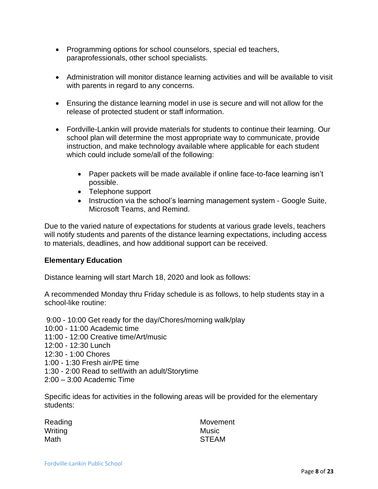- Programming options for school counselors, special ed teachers, paraprofessionals, other school specialists.
- Administration will monitor distance learning activities and will be available to visit with parents in regard to any concerns.
- Ensuring the distance learning model in use is secure and will not allow for the release of protected student or staff information.
- Fordville-Lankin will provide materials for students to continue their learning. Our school plan will determine the most appropriate way to communicate, provide instruction, and make technology available where applicable for each student which could include some/all of the following:
	- Paper packets will be made available if online face-to-face learning isn't possible.
	- Telephone support
	- Instruction via the school's learning management system Google Suite, Microsoft Teams, and Remind.

Due to the varied nature of expectations for students at various grade levels, teachers will notify students and parents of the distance learning expectations, including access to materials, deadlines, and how additional support can be received.

#### <span id="page-7-0"></span>**Elementary Education**

Distance learning will start March 18, 2020 and look as follows:

A recommended Monday thru Friday schedule is as follows, to help students stay in a school-like routine:

9:00 - 10:00 Get ready for the day/Chores/morning walk/play 10:00 - 11:00 Academic time 11:00 - 12:00 Creative time/Art/music 12:00 - 12:30 Lunch 12:30 - 1:00 Chores 1:00 - 1:30 Fresh air/PE time 1:30 - 2:00 Read to self/with an adult/Storytime 2:00 – 3:00 Academic Time

Specific ideas for activities in the following areas will be provided for the elementary students:

| Reading | Movement     |
|---------|--------------|
| Writing | Music        |
| Math    | <b>STEAM</b> |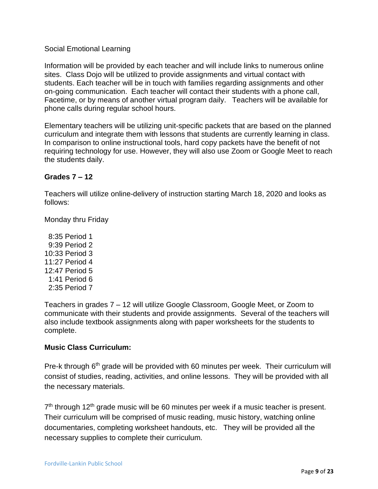# Social Emotional Learning

Information will be provided by each teacher and will include links to numerous online sites. Class Dojo will be utilized to provide assignments and virtual contact with students. Each teacher will be in touch with families regarding assignments and other on-going communication. Each teacher will contact their students with a phone call, Facetime, or by means of another virtual program daily. Teachers will be available for phone calls during regular school hours.

Elementary teachers will be utilizing unit-specific packets that are based on the planned curriculum and integrate them with lessons that students are currently learning in class. In comparison to online instructional tools, hard copy packets have the benefit of not requiring technology for use. However, they will also use Zoom or Google Meet to reach the students daily.

# <span id="page-8-0"></span>**Grades 7 – 12**

Teachers will utilize online-delivery of instruction starting March 18, 2020 and looks as follows:

Monday thru Friday

 8:35 Period 1 9:39 Period 2 10:33 Period 3 11:27 Period 4 12:47 Period 5 1:41 Period 6 2:35 Period 7

Teachers in grades 7 – 12 will utilize Google Classroom, Google Meet, or Zoom to communicate with their students and provide assignments. Several of the teachers will also include textbook assignments along with paper worksheets for the students to complete.

# <span id="page-8-1"></span>**Music Class Curriculum:**

Pre-k through 6<sup>th</sup> grade will be provided with 60 minutes per week. Their curriculum will consist of studies, reading, activities, and online lessons. They will be provided with all the necessary materials.

7<sup>th</sup> through 12<sup>th</sup> grade music will be 60 minutes per week if a music teacher is present. Their curriculum will be comprised of music reading, music history, watching online documentaries, completing worksheet handouts, etc. They will be provided all the necessary supplies to complete their curriculum.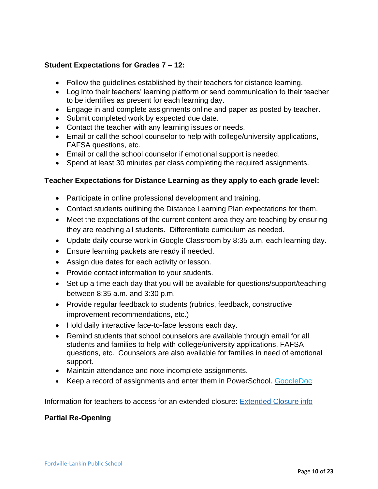# <span id="page-9-0"></span>**Student Expectations for Grades 7 – 12:**

- Follow the guidelines established by their teachers for distance learning.
- Log into their teachers' learning platform or send communication to their teacher to be identifies as present for each learning day.
- Engage in and complete assignments online and paper as posted by teacher.
- Submit completed work by expected due date.
- Contact the teacher with any learning issues or needs.
- Email or call the school counselor to help with college/university applications, FAFSA questions, etc.
- Email or call the school counselor if emotional support is needed.
- Spend at least 30 minutes per class completing the required assignments.

# <span id="page-9-1"></span>**Teacher Expectations for Distance Learning as they apply to each grade level:**

- Participate in online professional development and training.
- Contact students outlining the Distance Learning Plan expectations for them.
- Meet the expectations of the current content area they are teaching by ensuring they are reaching all students. Differentiate curriculum as needed.
- Update daily course work in Google Classroom by 8:35 a.m. each learning day.
- Ensure learning packets are ready if needed.
- Assign due dates for each activity or lesson.
- Provide contact information to your students.
- Set up a time each day that you will be available for questions/support/teaching between 8:35 a.m. and 3:30 p.m.
- Provide regular feedback to students (rubrics, feedback, constructive improvement recommendations, etc.)
- Hold daily interactive face-to-face lessons each day.
- Remind students that school counselors are available through email for all students and families to help with college/university applications, FAFSA questions, etc. Counselors are also available for families in need of emotional support.
- Maintain attendance and note incomplete assignments.
- Keep a record of assignments and enter them in PowerSchool. [GoogleDoc](https://docs.google.com/spreadsheets/d/1ei-Dae1WAOSAWWrwUTGdgJtDCdZlhmZqsL6iX4OibYg/edit?usp=sharing)

Information for teachers to access for an extended closure: [Extended Closure info](https://docs.google.com/document/d/1of7l9QyTkt6-sWFJauQaQufprb1yryn6z3sCZjoqhjM/edit?usp=sharing)

# <span id="page-9-2"></span>**Partial Re-Opening**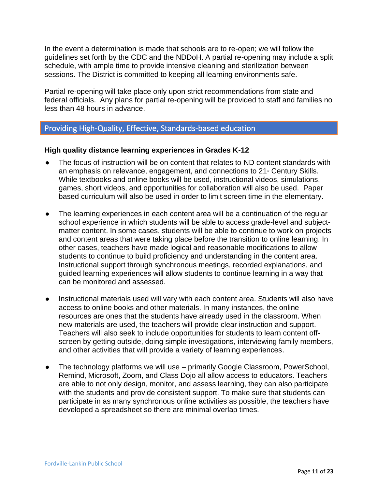In the event a determination is made that schools are to re-open; we will follow the guidelines set forth by the CDC and the NDDoH. A partial re-opening may include a split schedule, with ample time to provide intensive cleaning and sterilization between sessions. The District is committed to keeping all learning environments safe.

Partial re-opening will take place only upon strict recommendations from state and federal officials. Any plans for partial re-opening will be provided to staff and families no less than 48 hours in advance.

# <span id="page-10-0"></span>Providing High-Quality, Effective, Standards-based education

# <span id="page-10-1"></span>**High quality distance learning experiences in Grades K-12**

- The focus of instruction will be on content that relates to ND content standards with an emphasis on relevance, engagement, and connections to 21<sup>st</sup> Century Skills. While textbooks and online books will be used, instructional videos, simulations, games, short videos, and opportunities for collaboration will also be used. Paper based curriculum will also be used in order to limit screen time in the elementary.
- The learning experiences in each content area will be a continuation of the regular school experience in which students will be able to access grade-level and subjectmatter content. In some cases, students will be able to continue to work on projects and content areas that were taking place before the transition to online learning. In other cases, teachers have made logical and reasonable modifications to allow students to continue to build proficiency and understanding in the content area. Instructional support through synchronous meetings, recorded explanations, and guided learning experiences will allow students to continue learning in a way that can be monitored and assessed.
- Instructional materials used will vary with each content area. Students will also have access to online books and other materials. In many instances, the online resources are ones that the students have already used in the classroom. When new materials are used, the teachers will provide clear instruction and support. Teachers will also seek to include opportunities for students to learn content offscreen by getting outside, doing simple investigations, interviewing family members, and other activities that will provide a variety of learning experiences.
- The technology platforms we will use primarily Google Classroom, PowerSchool, Remind, Microsoft, Zoom, and Class Dojo all allow access to educators. Teachers are able to not only design, monitor, and assess learning, they can also participate with the students and provide consistent support. To make sure that students can participate in as many synchronous online activities as possible, the teachers have developed a spreadsheet so there are minimal overlap times.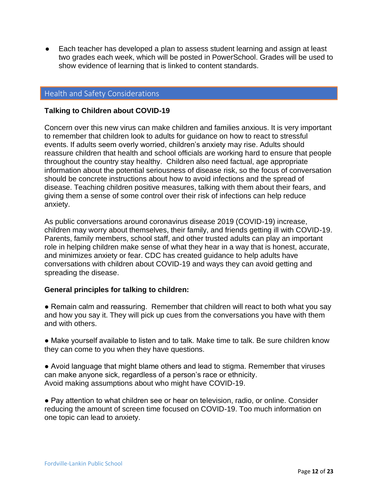● Each teacher has developed a plan to assess student learning and assign at least two grades each week, which will be posted in PowerSchool. Grades will be used to show evidence of learning that is linked to content standards.

# <span id="page-11-0"></span>Health and Safety Considerations

#### <span id="page-11-1"></span>**Talking to Children about COVID-19**

Concern over this new virus can make children and families anxious. It is very important to remember that children look to adults for guidance on how to react to stressful events. If adults seem overly worried, children's anxiety may rise. Adults should reassure children that health and school officials are working hard to ensure that people throughout the country stay healthy. Children also need factual, age appropriate information about the potential seriousness of disease risk, so the focus of conversation should be concrete instructions about how to avoid infections and the spread of disease. Teaching children positive measures, talking with them about their fears, and giving them a sense of some control over their risk of infections can help reduce anxiety.

As public conversations around coronavirus disease 2019 (COVID-19) increase, children may worry about themselves, their family, and friends getting ill with COVID-19. Parents, family members, school staff, and other trusted adults can play an important role in helping children make sense of what they hear in a way that is honest, accurate, and minimizes anxiety or fear. CDC has created guidance to help adults have conversations with children about COVID-19 and ways they can avoid getting and spreading the disease.

# <span id="page-11-2"></span>**General principles for talking to children:**

- Remain calm and reassuring. Remember that children will react to both what you say and how you say it. They will pick up cues from the conversations you have with them and with others.
- Make yourself available to listen and to talk. Make time to talk. Be sure children know they can come to you when they have questions.
- Avoid language that might blame others and lead to stigma. Remember that viruses can make anyone sick, regardless of a person's race or ethnicity. Avoid making assumptions about who might have COVID-19.
- Pay attention to what children see or hear on television, radio, or online. Consider reducing the amount of screen time focused on COVID-19. Too much information on one topic can lead to anxiety.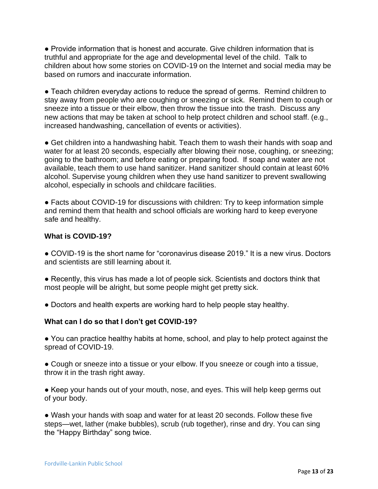● Provide information that is honest and accurate. Give children information that is truthful and appropriate for the age and developmental level of the child. Talk to children about how some stories on COVID-19 on the Internet and social media may be based on rumors and inaccurate information.

● Teach children everyday actions to reduce the spread of germs. Remind children to stay away from people who are coughing or sneezing or sick. Remind them to cough or sneeze into a tissue or their elbow, then throw the tissue into the trash. Discuss any new actions that may be taken at school to help protect children and school staff. (e.g., increased handwashing, cancellation of events or activities).

● Get children into a handwashing habit. Teach them to wash their hands with soap and water for at least 20 seconds, especially after blowing their nose, coughing, or sneezing; going to the bathroom; and before eating or preparing food. If soap and water are not available, teach them to use hand sanitizer. Hand sanitizer should contain at least 60% alcohol. Supervise young children when they use hand sanitizer to prevent swallowing alcohol, especially in schools and childcare facilities.

● Facts about COVID-19 for discussions with children: Try to keep information simple and remind them that health and school officials are working hard to keep everyone safe and healthy.

# <span id="page-12-0"></span>**What is COVID-19?**

● COVID-19 is the short name for "coronavirus disease 2019." It is a new virus. Doctors and scientists are still learning about it.

- Recently, this virus has made a lot of people sick. Scientists and doctors think that most people will be alright, but some people might get pretty sick.
- Doctors and health experts are working hard to help people stay healthy.

# <span id="page-12-1"></span>**What can I do so that I don't get COVID-19?**

● You can practice healthy habits at home, school, and play to help protect against the spread of COVID-19.

• Cough or sneeze into a tissue or your elbow. If you sneeze or cough into a tissue, throw it in the trash right away.

● Keep your hands out of your mouth, nose, and eyes. This will help keep germs out of your body.

● Wash your hands with soap and water for at least 20 seconds. Follow these five steps—wet, lather (make bubbles), scrub (rub together), rinse and dry. You can sing the "Happy Birthday" song twice.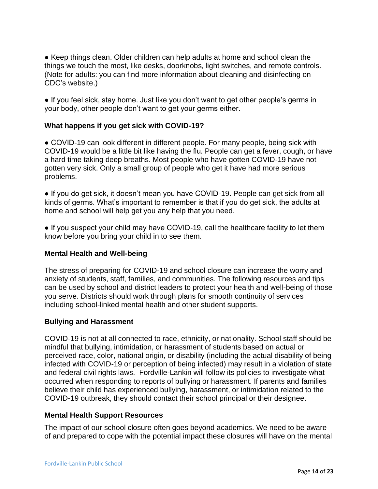● Keep things clean. Older children can help adults at home and school clean the things we touch the most, like desks, doorknobs, light switches, and remote controls. (Note for adults: you can find more information about cleaning and disinfecting on CDC's website.)

● If you feel sick, stay home. Just like you don't want to get other people's germs in your body, other people don't want to get your germs either.

# **What happens if you get sick with COVID-19?**

● COVID-19 can look different in different people. For many people, being sick with COVID-19 would be a little bit like having the flu. People can get a fever, cough, or have a hard time taking deep breaths. Most people who have gotten COVID-19 have not gotten very sick. Only a small group of people who get it have had more serious problems.

• If you do get sick, it doesn't mean you have COVID-19. People can get sick from all kinds of germs. What's important to remember is that if you do get sick, the adults at home and school will help get you any help that you need.

• If you suspect your child may have COVID-19, call the healthcare facility to let them know before you bring your child in to see them.

# <span id="page-13-0"></span>**Mental Health and Well-being**

The stress of preparing for COVID-19 and school closure can increase the worry and anxiety of students, staff, families, and communities. The following resources and tips can be used by school and district leaders to protect your health and well-being of those you serve. Districts should work through plans for smooth continuity of services including school-linked mental health and other student supports.

# <span id="page-13-1"></span>**Bullying and Harassment**

COVID-19 is not at all connected to race, ethnicity, or nationality. School staff should be mindful that bullying, intimidation, or harassment of students based on actual or perceived race, color, national origin, or disability (including the actual disability of being infected with COVID-19 or perception of being infected) may result in a violation of state and federal civil rights laws. Fordville-Lankin will follow its policies to investigate what occurred when responding to reports of bullying or harassment. If parents and families believe their child has experienced bullying, harassment, or intimidation related to the COVID-19 outbreak, they should contact their school principal or their designee.

# <span id="page-13-2"></span>**Mental Health Support Resources**

The impact of our school closure often goes beyond academics. We need to be aware of and prepared to cope with the potential impact these closures will have on the mental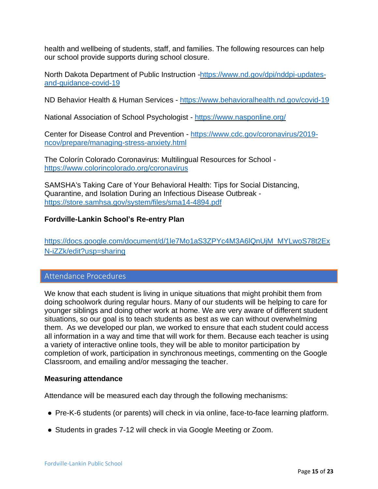health and wellbeing of students, staff, and families. The following resources can help our school provide supports during school closure.

North Dakota Department of Public Instruction [-https://www.nd.gov/dpi/nddpi-updates](https://www.nd.gov/dpi/nddpi-updates-and-guidance-covid-19)[and-guidance-covid-19](https://www.nd.gov/dpi/nddpi-updates-and-guidance-covid-19)

ND Behavior Health & Human Services - <https://www.behavioralhealth.nd.gov/covid-19>

National Association of School Psychologist - <https://www.nasponline.org/>

Center for Disease Control and Prevention - [https://www.cdc.gov/coronavirus/2019](https://www.cdc.gov/coronavirus/2019-ncov/prepare/managing-stress-anxiety.html) [ncov/prepare/managing-stress-anxiety.html](https://www.cdc.gov/coronavirus/2019-ncov/prepare/managing-stress-anxiety.html)

The Colorín Colorado Coronavirus: Multilingual Resources for School <https://www.colorincolorado.org/coronavirus>

SAMSHA's Taking Care of Your Behavioral Health: Tips for Social Distancing, Quarantine, and Isolation During an Infectious Disease Outbreak [https://store.samhsa.gov/system/files/sma14-4894.pdf](https://www.nasponline.org/)

# <span id="page-14-0"></span>**Fordville-Lankin School's Re-entry Plan**

[https://docs.google.com/document/d/1le7Mo1aS3ZPYc4M3A6lQnUjM\\_MYLwoS78t2Ex](https://docs.google.com/document/d/1le7Mo1aS3ZPYc4M3A6lQnUjM_MYLwoS78t2ExN-iZZk/edit?usp=sharing) [N-iZZk/edit?usp=sharing](https://docs.google.com/document/d/1le7Mo1aS3ZPYc4M3A6lQnUjM_MYLwoS78t2ExN-iZZk/edit?usp=sharing)

# <span id="page-14-1"></span>Attendance Procedures

We know that each student is living in unique situations that might prohibit them from doing schoolwork during regular hours. Many of our students will be helping to care for younger siblings and doing other work at home. We are very aware of different student situations, so our goal is to teach students as best as we can without overwhelming them. As we developed our plan, we worked to ensure that each student could access all information in a way and time that will work for them. Because each teacher is using a variety of interactive online tools, they will be able to monitor participation by completion of work, participation in synchronous meetings, commenting on the Google Classroom, and emailing and/or messaging the teacher.

#### <span id="page-14-2"></span>**Measuring attendance**

Attendance will be measured each day through the following mechanisms:

- Pre-K-6 students (or parents) will check in via online, face-to-face learning platform.
- Students in grades 7-12 will check in via Google Meeting or Zoom.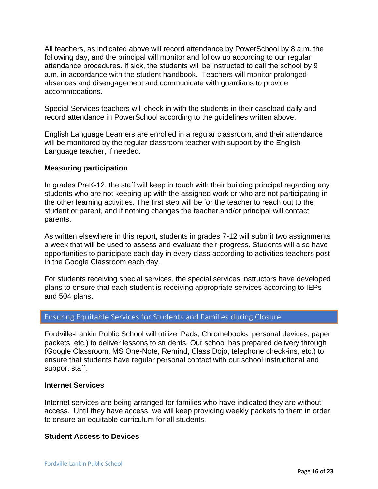All teachers, as indicated above will record attendance by PowerSchool by 8 a.m. the following day, and the principal will monitor and follow up according to our regular attendance procedures. If sick, the students will be instructed to call the school by 9 a.m. in accordance with the student handbook. Teachers will monitor prolonged absences and disengagement and communicate with guardians to provide accommodations.

Special Services teachers will check in with the students in their caseload daily and record attendance in PowerSchool according to the guidelines written above.

English Language Learners are enrolled in a regular classroom, and their attendance will be monitored by the regular classroom teacher with support by the English Language teacher, if needed.

#### <span id="page-15-0"></span>**Measuring participation**

In grades PreK-12, the staff will keep in touch with their building principal regarding any students who are not keeping up with the assigned work or who are not participating in the other learning activities. The first step will be for the teacher to reach out to the student or parent, and if nothing changes the teacher and/or principal will contact parents.

As written elsewhere in this report, students in grades 7-12 will submit two assignments a week that will be used to assess and evaluate their progress. Students will also have opportunities to participate each day in every class according to activities teachers post in the Google Classroom each day.

For students receiving special services, the special services instructors have developed plans to ensure that each student is receiving appropriate services according to IEPs and 504 plans.

# <span id="page-15-1"></span>Ensuring Equitable Services for Students and Families during Closure

Fordville-Lankin Public School will utilize iPads, Chromebooks, personal devices, paper packets, etc.) to deliver lessons to students. Our school has prepared delivery through (Google Classroom, MS One-Note, Remind, Class Dojo, telephone check-ins, etc.) to ensure that students have regular personal contact with our school instructional and support staff.

#### <span id="page-15-2"></span>**Internet Services**

Internet services are being arranged for families who have indicated they are without access. Until they have access, we will keep providing weekly packets to them in order to ensure an equitable curriculum for all students.

#### <span id="page-15-3"></span>**Student Access to Devices**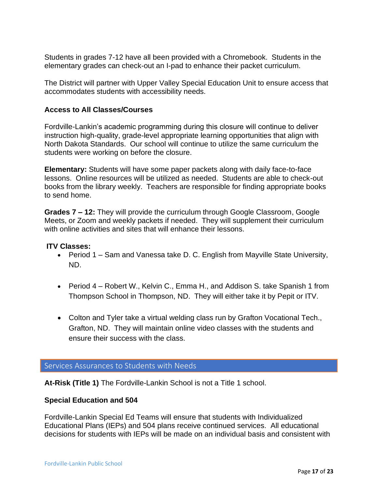Students in grades 7-12 have all been provided with a Chromebook. Students in the elementary grades can check-out an I-pad to enhance their packet curriculum.

The District will partner with Upper Valley Special Education Unit to ensure access that accommodates students with accessibility needs.

# <span id="page-16-0"></span>**Access to All Classes/Courses**

Fordville-Lankin's academic programming during this closure will continue to deliver instruction high-quality, grade-level appropriate learning opportunities that align with North Dakota Standards. Our school will continue to utilize the same curriculum the students were working on before the closure.

**Elementary:** Students will have some paper packets along with daily face-to-face lessons. Online resources will be utilized as needed. Students are able to check-out books from the library weekly. Teachers are responsible for finding appropriate books to send home.

**Grades 7 – 12:** They will provide the curriculum through Google Classroom, Google Meets, or Zoom and weekly packets if needed. They will supplement their curriculum with online activities and sites that will enhance their lessons.

#### <span id="page-16-1"></span>**ITV Classes:**

- Period 1 Sam and Vanessa take D. C. English from Mayville State University, ND.
- Period 4 Robert W., Kelvin C., Emma H., and Addison S. take Spanish 1 from Thompson School in Thompson, ND. They will either take it by Pepit or ITV.
- Colton and Tyler take a virtual welding class run by Grafton Vocational Tech., Grafton, ND. They will maintain online video classes with the students and ensure their success with the class.

<span id="page-16-2"></span>Services Assurances to Students with Needs

**At-Risk (Title 1)** The Fordville-Lankin School is not a Title 1 school.

#### <span id="page-16-3"></span>**Special Education and 504**

Fordville-Lankin Special Ed Teams will ensure that students with Individualized Educational Plans (IEPs) and 504 plans receive continued services. All educational decisions for students with IEPs will be made on an individual basis and consistent with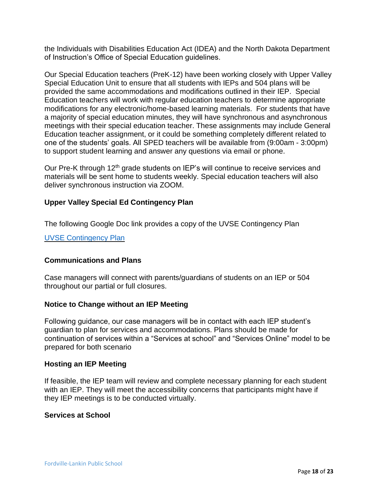the Individuals with Disabilities Education Act (IDEA) and the North Dakota Department of Instruction's Office of Special Education guidelines.

Our Special Education teachers (PreK-12) have been working closely with Upper Valley Special Education Unit to ensure that all students with IEPs and 504 plans will be provided the same accommodations and modifications outlined in their IEP. Special Education teachers will work with regular education teachers to determine appropriate modifications for any electronic/home-based learning materials. For students that have a majority of special education minutes, they will have synchronous and asynchronous meetings with their special education teacher. These assignments may include General Education teacher assignment, or it could be something completely different related to one of the students' goals. All SPED teachers will be available from (9:00am - 3:00pm) to support student learning and answer any questions via email or phone.

Our Pre-K through 12<sup>th</sup> grade students on IEP's will continue to receive services and materials will be sent home to students weekly. Special education teachers will also deliver synchronous instruction via ZOOM.

# <span id="page-17-0"></span>**Upper Valley Special Ed Contingency Plan**

The following Google Doc link provides a copy of the UVSE Contingency Plan

[UVSE Contingency Plan](https://docs.google.com/document/d/1SG_BjYNTNg145O6D-4ZHhRY4hZvq8kmODNYgwoSqG4U/edit?usp=sharing)

#### <span id="page-17-1"></span>**Communications and Plans**

Case managers will connect with parents/guardians of students on an IEP or 504 throughout our partial or full closures.

#### <span id="page-17-2"></span>**Notice to Change without an IEP Meeting**

Following guidance, our case managers will be in contact with each IEP student's guardian to plan for services and accommodations. Plans should be made for continuation of services within a "Services at school" and "Services Online" model to be prepared for both scenario

#### <span id="page-17-3"></span>**Hosting an IEP Meeting**

If feasible, the IEP team will review and complete necessary planning for each student with an IEP. They will meet the accessibility concerns that participants might have if they IEP meetings is to be conducted virtually.

#### <span id="page-17-4"></span>**Services at School**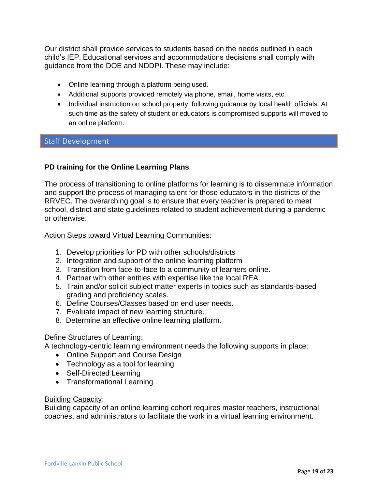Our district shall provide services to students based on the needs outlined in each child's IEP. Educational services and accommodations decisions shall comply with guidance from the DOE and NDDPI. These may include:

- Online learning through a platform being used.
- Additional supports provided remotely via phone, email, home visits, etc.
- Individual instruction on school property, following guidance by local health officials. At such time as the safety of student or educators is compromised supports will moved to an online platform.

# <span id="page-18-0"></span>Staff Development

# <span id="page-18-1"></span>**PD training for the Online Learning Plans**

The process of transitioning to online platforms for learning is to disseminate information and support the process of managing talent for those educators in the districts of the RRVEC. The overarching goal is to ensure that every teacher is prepared to meet school, district and state guidelines related to student achievement during a pandemic or otherwise.

#### Action Steps toward Virtual Learning Communities:

- 1. Develop priorities for PD with other schools/districts
- 2. Integration and support of the online learning platform
- 3. Transition from face-to-face to a community of learners online.
- 4. Partner with other entities with expertise like the local REA.
- 5. Train and/or solicit subject matter experts in topics such as standards-based grading and proficiency scales.
- 6. Define Courses/Classes based on end user needs.
- 7. Evaluate impact of new learning structure.
- 8. Determine an effective online learning platform.

# Define Structures of Learning:

A technology-centric learning environment needs the following supports in place:

- Online Support and Course Design
- Technology as a tool for learning
- Self-Directed Learning
- Transformational Learning

# Building Capacity:

Building capacity of an online learning cohort requires master teachers, instructional coaches, and administrators to facilitate the work in a virtual learning environment.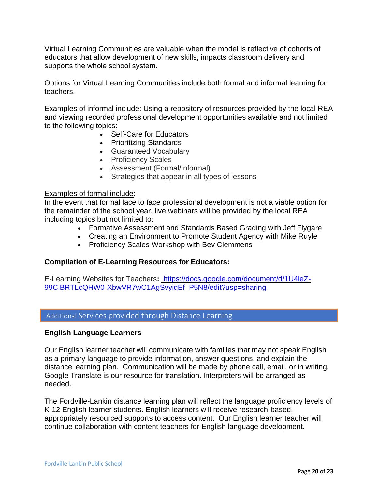Virtual Learning Communities are valuable when the model is reflective of cohorts of educators that allow development of new skills, impacts classroom delivery and supports the whole school system.

Options for Virtual Learning Communities include both formal and informal learning for teachers.

Examples of informal include: Using a repository of resources provided by the local REA and viewing recorded professional development opportunities available and not limited to the following topics:

- Self-Care for Educators
- Prioritizing Standards
- Guaranteed Vocabulary
- Proficiency Scales
- Assessment (Formal/Informal)
- Strategies that appear in all types of lessons

#### Examples of formal include:

In the event that formal face to face professional development is not a viable option for the remainder of the school year, live webinars will be provided by the local REA including topics but not limited to:

- Formative Assessment and Standards Based Grading with Jeff Flygare
- Creating an Environment to Promote Student Agency with Mike Ruyle
- Proficiency Scales Workshop with Bev Clemmens

#### <span id="page-19-0"></span>**Compilation of E-Learning Resources for Educators:**

E-Learning Websites for Teachers**:** [https://docs.google.com/document/d/1U4leZ-](https://nam02.safelinks.protection.outlook.com/?url=https%3A%2F%2Fdocs.google.com%2Fdocument%2Fd%2F1U4leZ-99CiBRTLcQHW0-XbwVR7wC1AgSvyiqEf_P5N8%2Fedit%3Fusp%3Dsharing&data=01%7C01%7Csheri.kunrath%40k12.nd.us%7C122de056d0fc474d443a08d7cfa600ca%7Cdbbf782acef14af186c81f9201061db6%7C0&sdata=wZTSpCxa67A1ERsjZkDnRUmVBKJZRg3hv67Znndl9BA%3D&reserved=0)[99CiBRTLcQHW0-XbwVR7wC1AgSvyiqEf\\_P5N8/edit?usp=sharing](https://nam02.safelinks.protection.outlook.com/?url=https%3A%2F%2Fdocs.google.com%2Fdocument%2Fd%2F1U4leZ-99CiBRTLcQHW0-XbwVR7wC1AgSvyiqEf_P5N8%2Fedit%3Fusp%3Dsharing&data=01%7C01%7Csheri.kunrath%40k12.nd.us%7C122de056d0fc474d443a08d7cfa600ca%7Cdbbf782acef14af186c81f9201061db6%7C0&sdata=wZTSpCxa67A1ERsjZkDnRUmVBKJZRg3hv67Znndl9BA%3D&reserved=0)

# <span id="page-19-1"></span>Additional Services provided through Distance Learning

#### <span id="page-19-2"></span>**English Language Learners**

Our English learner teacher will communicate with families that may not speak English as a primary language to provide information, answer questions, and explain the distance learning plan. Communication will be made by phone call, email, or in writing. Google Translate is our resource for translation. Interpreters will be arranged as needed.

The Fordville-Lankin distance learning plan will reflect the language proficiency levels of K-12 English learner students. English learners will receive research-based, appropriately resourced supports to access content. Our English learner teacher will continue collaboration with content teachers for English language development.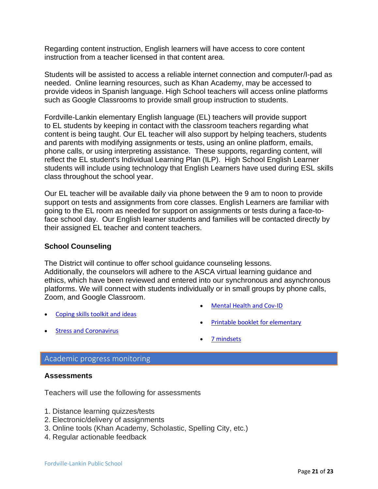Regarding content instruction, English learners will have access to core content instruction from a teacher licensed in that content area.

Students will be assisted to access a reliable internet connection and computer/I-pad as needed. Online learning resources, such as Khan Academy, may be accessed to provide videos in Spanish language. High School teachers will access online platforms such as Google Classrooms to provide small group instruction to students.

Fordville-Lankin elementary English language (EL) teachers will provide support to EL students by keeping in contact with the classroom teachers regarding what content is being taught. Our EL teacher will also support by helping teachers, students and parents with modifying assignments or tests, using an online platform, emails, phone calls, or using interpreting assistance. These supports, regarding content, will reflect the EL student's Individual Learning Plan (ILP). High School English Learner students will include using technology that English Learners have used during ESL skills class throughout the school year.

Our EL teacher will be available daily via phone between the 9 am to noon to provide support on tests and assignments from core classes. English Learners are familiar with going to the EL room as needed for support on assignments or tests during a face-toface school day. Our English learner students and families will be contacted directly by their assigned EL teacher and content teachers.

# <span id="page-20-0"></span>**School Counseling**

The District will continue to offer school guidance counseling lessons. Additionally, the counselors will adhere to the ASCA virtual learning guidance and ethics, which have been reviewed and entered into our synchronous and asynchronous platforms. We will connect with students individually or in small groups by phone calls, Zoom, and Google Classroom.

• [Coping skills toolkit and ideas](https://www.bcbe.org/cms/lib/AL01901374/Centricity/Domain/1760/Coping%20Skills%20Toolkit.pdf)

- [Mental Health and Cov-ID](https://mhanational.org/covid19)
- [Printable booklet for elementary](https://littlepuddins.ie/wp-content/uploads/2020/03/The-Corona-Virus-Free-Printable-Updated-2-The-Autism-Educator-.pdf)

• [Stress and Coronavirus](https://docs.google.com/document/d/1PvbNTCgXjr9K5mzSaGa5OP4RlgwPD06OB8lW-O7h4Vw/edit)

• [7 mindsets](https://7mindsets.h5p.com/content/1290955628274777008)

#### <span id="page-20-1"></span>Academic progress monitoring

#### <span id="page-20-2"></span>**Assessments**

Teachers will use the following for assessments

- 1. Distance learning quizzes/tests
- 2. Electronic/delivery of assignments
- 3. Online tools (Khan Academy, Scholastic, Spelling City, etc.)
- 4. Regular actionable feedback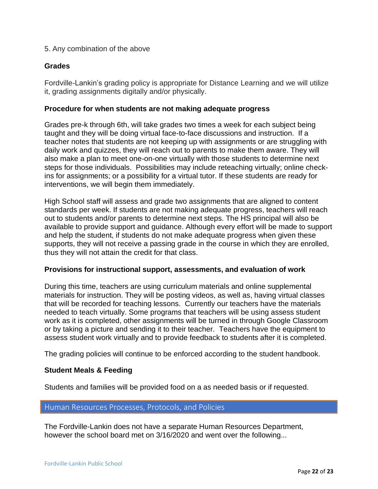# 5. Any combination of the above

# <span id="page-21-0"></span>**Grades**

Fordville-Lankin's grading policy is appropriate for Distance Learning and we will utilize it, grading assignments digitally and/or physically.

#### <span id="page-21-1"></span>**Procedure for when students are not making adequate progress**

Grades pre-k through 6th, will take grades two times a week for each subject being taught and they will be doing virtual face-to-face discussions and instruction. If a teacher notes that students are not keeping up with assignments or are struggling with daily work and quizzes, they will reach out to parents to make them aware. They will also make a plan to meet one-on-one virtually with those students to determine next steps for those individuals. Possibilities may include reteaching virtually; online checkins for assignments; or a possibility for a virtual tutor. If these students are ready for interventions, we will begin them immediately.

High School staff will assess and grade two assignments that are aligned to content standards per week. If students are not making adequate progress, teachers will reach out to students and/or parents to determine next steps. The HS principal will also be available to provide support and guidance. Although every effort will be made to support and help the student, if students do not make adequate progress when given these supports, they will not receive a passing grade in the course in which they are enrolled, thus they will not attain the credit for that class.

#### **Provisions for instructional support, assessments, and evaluation of work**

During this time, teachers are using curriculum materials and online supplemental materials for instruction. They will be posting videos, as well as, having virtual classes that will be recorded for teaching lessons. Currently our teachers have the materials needed to teach virtually. Some programs that teachers will be using assess student work as it is completed, other assignments will be turned in through Google Classroom or by taking a picture and sending it to their teacher. Teachers have the equipment to assess student work virtually and to provide feedback to students after it is completed.

The grading policies will continue to be enforced according to the student handbook.

#### <span id="page-21-2"></span>**Student Meals & Feeding**

Students and families will be provided food on a as needed basis or if requested.

#### <span id="page-21-3"></span>Human Resources Processes, Protocols, and Policies

The Fordville-Lankin does not have a separate Human Resources Department, however the school board met on 3/16/2020 and went over the following...